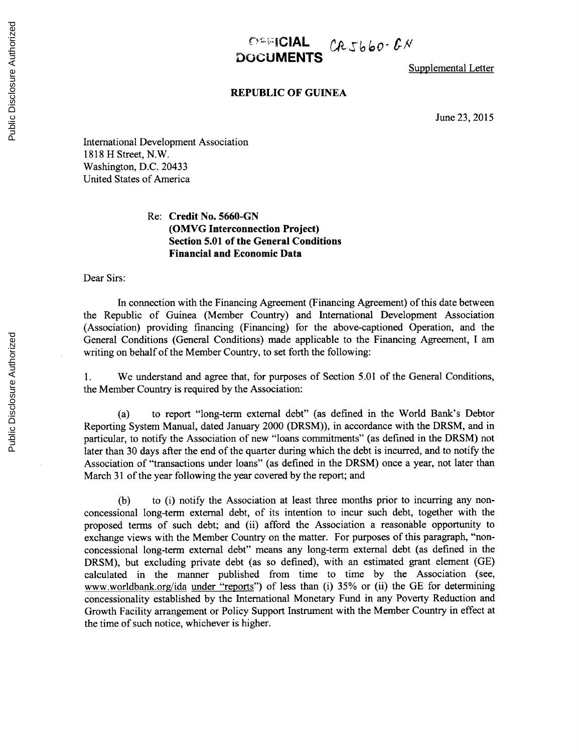## $\frac{C^{2}}{C^{2}}$   $C_{1}C_{2}C_{3}C_{4}C_{5}C_{6}C_{7}C_{8}C_{9}C_{10}C_{11}C_{12}C_{13}C_{14}C_{15}C_{16}C_{17}C_{18}C_{19}C_{10}C_{11}C_{10}C_{11}C_{10}C_{11}C_{10}C_{11}C_{10}C_{11}C_{10}C_{11}C_{10}C_{11}C_{10}C_{11}C_{10}C_{11}C_{10}C_{11}C_{10}C_{11}C_{10}C_{11$ **DOCUMENTS**

Supplemental Letter

## **REPUBLIC OF GUINEA**

June **23, 2015**

International Development Association **1818** H Street, N.W. Washington, **D.C.** 20433 United States of America

## Re: **Credit** No. **5660-GN (OMVG Interconnection Project) Section 5.01 of the General Conditions Financial and Economic Data**

Dear Sirs:

In connection with the Financing Agreement (Financing Agreement) of this date between the Republic of Guinea (Member Country) and International Development Association (Association) providing financing (Financing) for the above-captioned Operation, and the General Conditions (General Conditions) made applicable to the Financing Agreement, **I** am writing on behalf of the Member Country, to set forth the following:

**1.** We understand and agree that, for purposes of Section **5.01** of the General Conditions, the Member Country is required **by** the Association:

(a) to report "long-term external debt" (as defined in the World Bank's Debtor Reporting System Manual, dated January 2000 (DRSM)), in accordance with the DRSM, and in particular, to notify the Association of new "loans commitments" (as defined in the DRSM) not later than **30** days after the end of the quarter during which the debt is incurred, and to notify the Association of "transactions under loans" (as defined in the DRSM) once a year, not later than March **31** of the year following the year covered **by** the report; and

**(b)** to **(i)** notify the Association at least three months prior to incurring any nonconcessional long-term external debt, of its intention to incur such debt, together with the proposed terms of such debt; and (ii) afford the Association a reasonable opportunity to exchange views with the Member Country on the matter. For purposes of this paragraph, "nonconcessional long-term external debt" means any long-term external debt (as defined in the DRSM), but excluding private debt (as so defined), with an estimated grant element **(GE)** calculated in the manner published from time to time **by** the Association (see, www.worldbank.org/ida under "reports") of less than (i) **35%** or (ii) the **GE** for determining concessionality established **by** the International Monetary Fund in any Poverty Reduction and Growth Facility arrangement or Policy Support Instrument with the Member Country in effect at the time of such notice, whichever is higher.